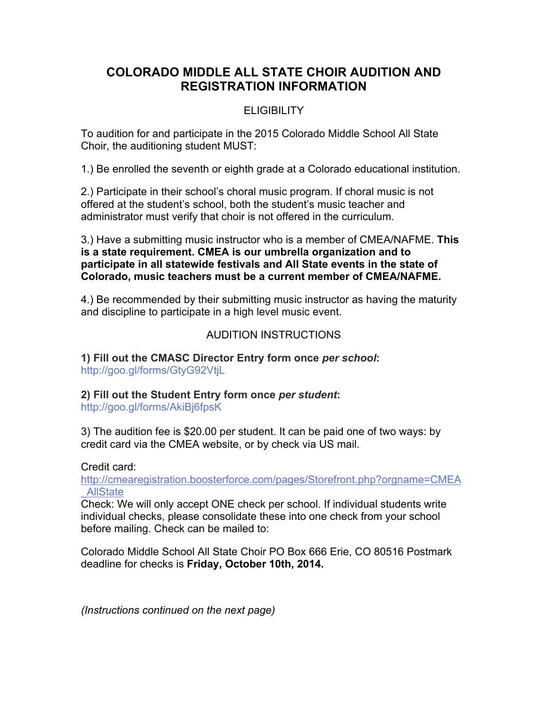# **COLORADO MIDDLE ALL STATE CHOIR AUDITION AND REGISTRATION INFORMATION**

## ELIGIBILITY

To audition for and participate in the 2015 Colorado Middle School All State Choir, the auditioning student MUST:

1.) Be enrolled the seventh or eighth grade at a Colorado educational institution.

2.) Participate in their school's choral music program. If choral music is not offered at the student's school, both the student's music teacher and administrator must verify that choir is not offered in the curriculum.

3.) Have a submitting music instructor who is a member of CMEA/NAFME. **This is a state requirement. CMEA is our umbrella organization and to participate in all statewide festivals and All State events in the state of Colorado, music teachers must be a current member of CMEA/NAFME.** 

4.) Be recommended by their submitting music instructor as having the maturity and discipline to participate in a high level music event.

### AUDITION INSTRUCTIONS

**1) Fill out the CMASC Director Entry form once** *per school***:** http://goo.gl/forms/GtyG92VtjL

### **2) Fill out the Student Entry form once** *per student***:**

http://goo.gl/forms/AkiBj6fpsK

3) The audition fee is \$20.00 per student. It can be paid one of two ways: by credit card via the CMEA website, or by check via US mail.

Credit card:

http://cmearegistration.boosterforce.com/pages/Storefront.php?orgname=CMEA \_AllState

Check: We will only accept ONE check per school. If individual students write individual checks, please consolidate these into one check from your school before mailing. Check can be mailed to:

Colorado Middle School All State Choir PO Box 666 Erie, CO 80516 Postmark deadline for checks is **Friday, October 10th, 2014.** 

*(Instructions continued on the next page)*